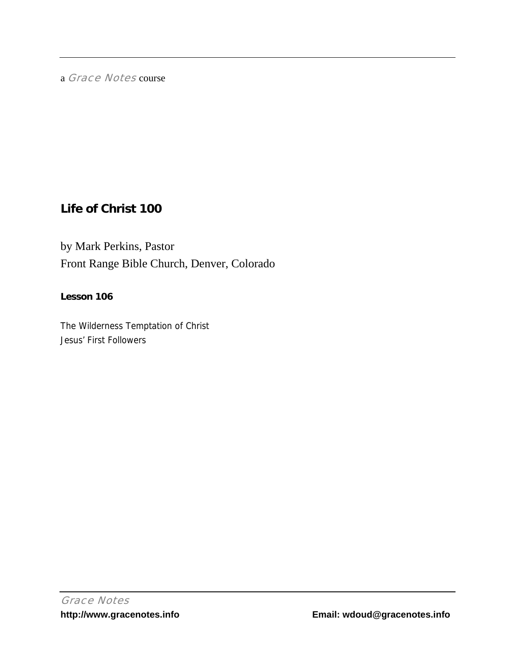a Grace Notes course

# **Life of Christ 100**

by Mark Perkins, Pastor Front Range Bible Church, Denver, Colorado

## **Lesson 106**

The Wilderness Temptation of Christ Jesus' First Followers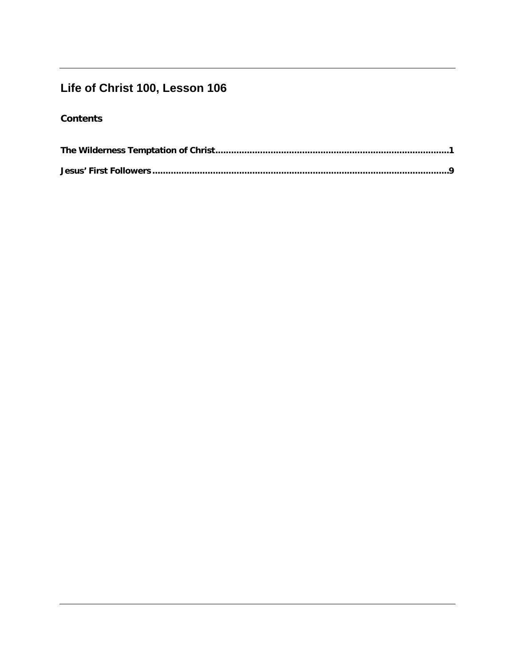# Life of Christ 100, Lesson 106

# **Contents**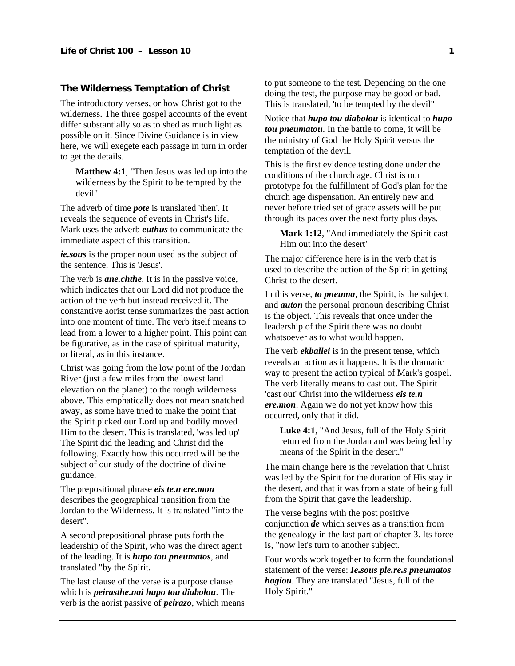#### <span id="page-2-0"></span>**The Wilderness Temptation of Christ**

The introductory verses, or how Christ got to the wilderness. The three gospel accounts of the event differ substantially so as to shed as much light as possible on it. Since Divine Guidance is in view here, we will exegete each passage in turn in order to get the details.

**Matthew 4:1**, "Then Jesus was led up into the wilderness by the Spirit to be tempted by the devil"

The adverb of time *pote* is translated 'then'. It reveals the sequence of events in Christ's life. Mark uses the adverb *euthus* to communicate the immediate aspect of this transition.

*ie.sous* is the proper noun used as the subject of the sentence. This is 'Jesus'.

The verb is *ane.chthe*. It is in the passive voice, which indicates that our Lord did not produce the action of the verb but instead received it. The constantive aorist tense summarizes the past action into one moment of time. The verb itself means to lead from a lower to a higher point. This point can be figurative, as in the case of spiritual maturity, or literal, as in this instance.

Christ was going from the low point of the Jordan River (just a few miles from the lowest land elevation on the planet) to the rough wilderness above. This emphatically does not mean snatched away, as some have tried to make the point that the Spirit picked our Lord up and bodily moved Him to the desert. This is translated, 'was led up' The Spirit did the leading and Christ did the following. Exactly how this occurred will be the subject of our study of the doctrine of divine guidance.

The prepositional phrase *eis te.n ere.mon* describes the geographical transition from the Jordan to the Wilderness. It is translated "into the desert".

A second prepositional phrase puts forth the leadership of the Spirit, who was the direct agent of the leading. It is *hupo tou pneumatos*, and translated "by the Spirit.

The last clause of the verse is a purpose clause which is *peirasthe.nai hupo tou diabolou*. The verb is the aorist passive of *peirazo*, which means to put someone to the test. Depending on the one doing the test, the purpose may be good or bad. This is translated, 'to be tempted by the devil"

Notice that *hupo tou diabolou* is identical to *hupo tou pneumatou*. In the battle to come, it will be the ministry of God the Holy Spirit versus the temptation of the devil.

This is the first evidence testing done under the conditions of the church age. Christ is our prototype for the fulfillment of God's plan for the church age dispensation. An entirely new and never before tried set of grace assets will be put through its paces over the next forty plus days.

**Mark 1:12**, "And immediately the Spirit cast Him out into the desert"

The major difference here is in the verb that is used to describe the action of the Spirit in getting Christ to the desert.

In this verse, *to pneuma*, the Spirit, is the subject, and *auton* the personal pronoun describing Christ is the object. This reveals that once under the leadership of the Spirit there was no doubt whatsoever as to what would happen.

The verb *ekballei* is in the present tense, which reveals an action as it happens. It is the dramatic way to present the action typical of Mark's gospel. The verb literally means to cast out. The Spirit 'cast out' Christ into the wilderness *eis te.n ere.mon*. Again we do not yet know how this occurred, only that it did.

**Luke 4:1**, "And Jesus, full of the Holy Spirit returned from the Jordan and was being led by means of the Spirit in the desert."

The main change here is the revelation that Christ was led by the Spirit for the duration of His stay in the desert, and that it was from a state of being full from the Spirit that gave the leadership.

The verse begins with the post positive conjunction *de* which serves as a transition from the genealogy in the last part of chapter 3. Its force is, "now let's turn to another subject.

Four words work together to form the foundational statement of the verse: *Ie.sous ple.re.s pneumatos hagiou*. They are translated "Jesus, full of the Holy Spirit."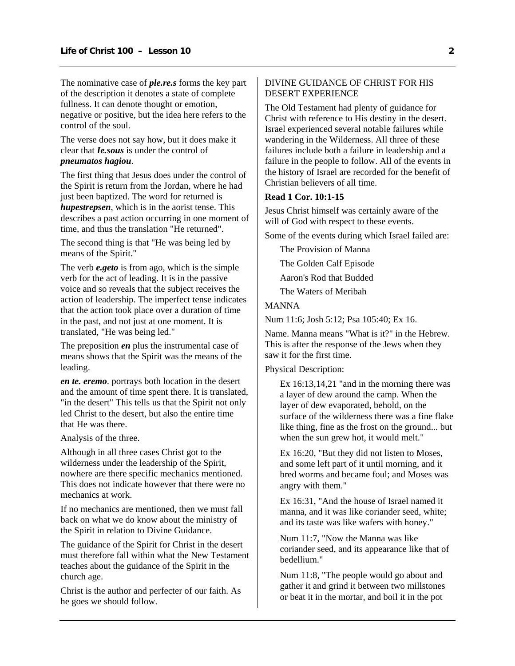The nominative case of *ple.re.s* forms the key part of the description it denotes a state of complete fullness. It can denote thought or emotion, negative or positive, but the idea here refers to the control of the soul.

The verse does not say how, but it does make it clear that *Ie.sous* is under the control of *pneumatos hagiou*.

The first thing that Jesus does under the control of the Spirit is return from the Jordan, where he had just been baptized. The word for returned is *hupestrepsen*, which is in the aorist tense. This describes a past action occurring in one moment of time, and thus the translation "He returned".

The second thing is that "He was being led by means of the Spirit."

The verb *e.geto* is from ago, which is the simple verb for the act of leading. It is in the passive voice and so reveals that the subject receives the action of leadership. The imperfect tense indicates that the action took place over a duration of time in the past, and not just at one moment. It is translated, "He was being led."

The preposition *en* plus the instrumental case of means shows that the Spirit was the means of the leading.

*en te. eremo*. portrays both location in the desert and the amount of time spent there. It is translated, "in the desert" This tells us that the Spirit not only led Christ to the desert, but also the entire time that He was there.

Analysis of the three.

Although in all three cases Christ got to the wilderness under the leadership of the Spirit, nowhere are there specific mechanics mentioned. This does not indicate however that there were no mechanics at work.

If no mechanics are mentioned, then we must fall back on what we do know about the ministry of the Spirit in relation to Divine Guidance.

The guidance of the Spirit for Christ in the desert must therefore fall within what the New Testament teaches about the guidance of the Spirit in the church age.

Christ is the author and perfecter of our faith. As he goes we should follow.

#### DIVINE GUIDANCE OF CHRIST FOR HIS DESERT EXPERIENCE

The Old Testament had plenty of guidance for Christ with reference to His destiny in the desert. Israel experienced several notable failures while wandering in the Wilderness. All three of these failures include both a failure in leadership and a failure in the people to follow. All of the events in the history of Israel are recorded for the benefit of Christian believers of all time.

#### **Read 1 Cor. 10:1-15**

Jesus Christ himself was certainly aware of the will of God with respect to these events.

Some of the events during which Israel failed are:

The Provision of Manna The Golden Calf Episode Aaron's Rod that Budded The Waters of Meribah

## MANNA

Num 11:6; Josh 5:12; Psa 105:40; Ex 16.

Name. Manna means "What is it?" in the Hebrew. This is after the response of the Jews when they saw it for the first time.

#### Physical Description:

Ex 16:13,14,21 "and in the morning there was a layer of dew around the camp. When the layer of dew evaporated, behold, on the surface of the wilderness there was a fine flake like thing, fine as the frost on the ground... but when the sun grew hot, it would melt."

Ex 16:20, "But they did not listen to Moses, and some left part of it until morning, and it bred worms and became foul; and Moses was angry with them."

Ex 16:31, "And the house of Israel named it manna, and it was like coriander seed, white; and its taste was like wafers with honey."

Num 11:7, "Now the Manna was like coriander seed, and its appearance like that of bedellium."

Num 11:8, "The people would go about and gather it and grind it between two millstones or beat it in the mortar, and boil it in the pot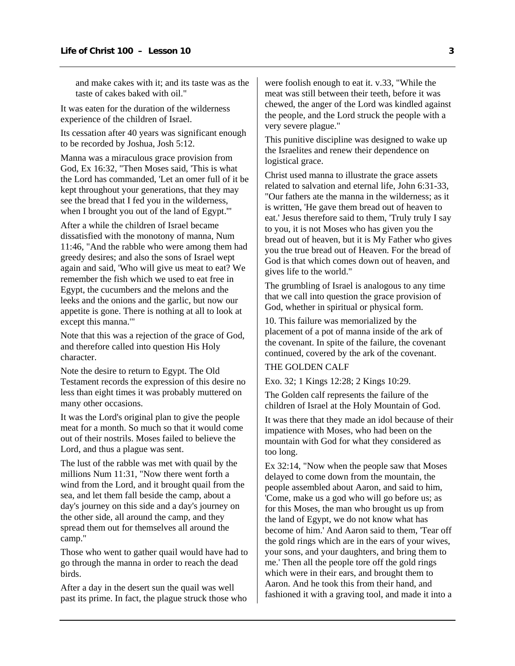and make cakes with it; and its taste was as the taste of cakes baked with oil."

It was eaten for the duration of the wilderness experience of the children of Israel.

Its cessation after 40 years was significant enough to be recorded by Joshua, Josh 5:12.

Manna was a miraculous grace provision from God, Ex 16:32, "Then Moses said, 'This is what the Lord has commanded, 'Let an omer full of it be kept throughout your generations, that they may see the bread that I fed you in the wilderness, when I brought you out of the land of Egypt.'"

After a while the children of Israel became dissatisfied with the monotony of manna, Num 11:46, "And the rabble who were among them had greedy desires; and also the sons of Israel wept again and said, 'Who will give us meat to eat? We remember the fish which we used to eat free in Egypt, the cucumbers and the melons and the leeks and the onions and the garlic, but now our appetite is gone. There is nothing at all to look at except this manna.'"

Note that this was a rejection of the grace of God, and therefore called into question His Holy character.

Note the desire to return to Egypt. The Old Testament records the expression of this desire no less than eight times it was probably muttered on many other occasions.

It was the Lord's original plan to give the people meat for a month. So much so that it would come out of their nostrils. Moses failed to believe the Lord, and thus a plague was sent.

The lust of the rabble was met with quail by the millions Num 11:31, "Now there went forth a wind from the Lord, and it brought quail from the sea, and let them fall beside the camp, about a day's journey on this side and a day's journey on the other side, all around the camp, and they spread them out for themselves all around the camp."

Those who went to gather quail would have had to go through the manna in order to reach the dead birds.

After a day in the desert sun the quail was well past its prime. In fact, the plague struck those who were foolish enough to eat it. v.33, "While the meat was still between their teeth, before it was chewed, the anger of the Lord was kindled against the people, and the Lord struck the people with a very severe plague."

This punitive discipline was designed to wake up the Israelites and renew their dependence on logistical grace.

Christ used manna to illustrate the grace assets related to salvation and eternal life, John 6:31-33, "Our fathers ate the manna in the wilderness; as it is written, 'He gave them bread out of heaven to eat.' Jesus therefore said to them, 'Truly truly I say to you, it is not Moses who has given you the bread out of heaven, but it is My Father who gives you the true bread out of Heaven. For the bread of God is that which comes down out of heaven, and gives life to the world."

The grumbling of Israel is analogous to any time that we call into question the grace provision of God, whether in spiritual or physical form.

10. This failure was memorialized by the placement of a pot of manna inside of the ark of the covenant. In spite of the failure, the covenant continued, covered by the ark of the covenant.

## THE GOLDEN CALF

Exo. 32; 1 Kings 12:28; 2 Kings 10:29.

The Golden calf represents the failure of the children of Israel at the Holy Mountain of God.

It was there that they made an idol because of their impatience with Moses, who had been on the mountain with God for what they considered as too long.

Ex 32:14, "Now when the people saw that Moses delayed to come down from the mountain, the people assembled about Aaron, and said to him, 'Come, make us a god who will go before us; as for this Moses, the man who brought us up from the land of Egypt, we do not know what has become of him.' And Aaron said to them, 'Tear off the gold rings which are in the ears of your wives, your sons, and your daughters, and bring them to me.' Then all the people tore off the gold rings which were in their ears, and brought them to Aaron. And he took this from their hand, and fashioned it with a graving tool, and made it into a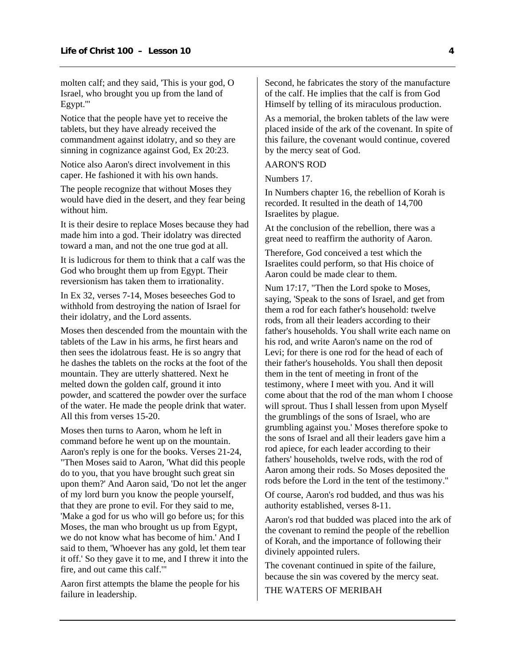molten calf; and they said, 'This is your god, O Israel, who brought you up from the land of Egypt.'"

Notice that the people have yet to receive the tablets, but they have already received the commandment against idolatry, and so they are sinning in cognizance against God, Ex 20:23.

Notice also Aaron's direct involvement in this caper. He fashioned it with his own hands.

The people recognize that without Moses they would have died in the desert, and they fear being without him.

It is their desire to replace Moses because they had made him into a god. Their idolatry was directed toward a man, and not the one true god at all.

It is ludicrous for them to think that a calf was the God who brought them up from Egypt. Their reversionism has taken them to irrationality.

In Ex 32, verses 7-14, Moses beseeches God to withhold from destroying the nation of Israel for their idolatry, and the Lord assents.

Moses then descended from the mountain with the tablets of the Law in his arms, he first hears and then sees the idolatrous feast. He is so angry that he dashes the tablets on the rocks at the foot of the mountain. They are utterly shattered. Next he melted down the golden calf, ground it into powder, and scattered the powder over the surface of the water. He made the people drink that water. All this from verses 15-20.

Moses then turns to Aaron, whom he left in command before he went up on the mountain. Aaron's reply is one for the books. Verses 21-24, "Then Moses said to Aaron, 'What did this people do to you, that you have brought such great sin upon them?' And Aaron said, 'Do not let the anger of my lord burn you know the people yourself, that they are prone to evil. For they said to me, 'Make a god for us who will go before us; for this Moses, the man who brought us up from Egypt, we do not know what has become of him.' And I said to them, 'Whoever has any gold, let them tear it off.' So they gave it to me, and I threw it into the fire, and out came this calf.'"

Aaron first attempts the blame the people for his failure in leadership.

Second, he fabricates the story of the manufacture of the calf. He implies that the calf is from God Himself by telling of its miraculous production.

As a memorial, the broken tablets of the law were placed inside of the ark of the covenant. In spite of this failure, the covenant would continue, covered by the mercy seat of God.

#### AARON'S ROD

Numbers 17.

In Numbers chapter 16, the rebellion of Korah is recorded. It resulted in the death of 14,700 Israelites by plague.

At the conclusion of the rebellion, there was a great need to reaffirm the authority of Aaron.

Therefore, God conceived a test which the Israelites could perform, so that His choice of Aaron could be made clear to them.

Num 17:17, "Then the Lord spoke to Moses, saying, 'Speak to the sons of Israel, and get from them a rod for each father's household: twelve rods, from all their leaders according to their father's households. You shall write each name on his rod, and write Aaron's name on the rod of Levi; for there is one rod for the head of each of their father's households. You shall then deposit them in the tent of meeting in front of the testimony, where I meet with you. And it will come about that the rod of the man whom I choose will sprout. Thus I shall lessen from upon Myself the grumblings of the sons of Israel, who are grumbling against you.' Moses therefore spoke to the sons of Israel and all their leaders gave him a rod apiece, for each leader according to their fathers' households, twelve rods, with the rod of Aaron among their rods. So Moses deposited the rods before the Lord in the tent of the testimony."

Of course, Aaron's rod budded, and thus was his authority established, verses 8-11.

Aaron's rod that budded was placed into the ark of the covenant to remind the people of the rebellion of Korah, and the importance of following their divinely appointed rulers.

The covenant continued in spite of the failure, because the sin was covered by the mercy seat.

THE WATERS OF MERIBAH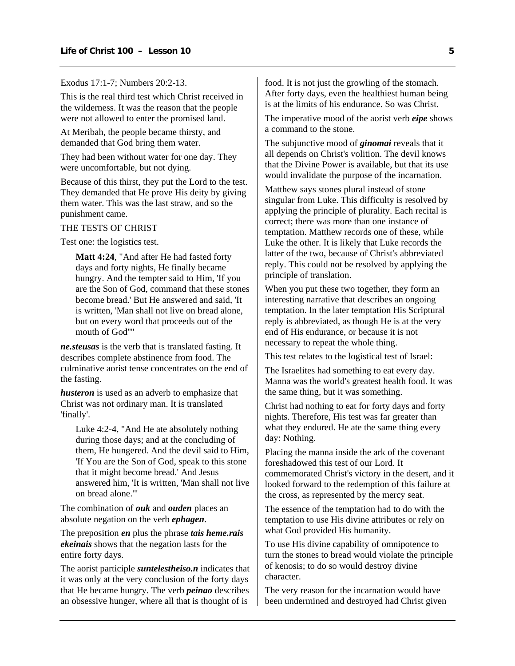Exodus 17:1-7; Numbers 20:2-13.

This is the real third test which Christ received in the wilderness. It was the reason that the people were not allowed to enter the promised land.

At Meribah, the people became thirsty, and demanded that God bring them water.

They had been without water for one day. They were uncomfortable, but not dying.

Because of this thirst, they put the Lord to the test. They demanded that He prove His deity by giving them water. This was the last straw, and so the punishment came.

#### THE TESTS OF CHRIST

Test one: the logistics test.

**Matt 4:24**, "And after He had fasted forty days and forty nights, He finally became hungry. And the tempter said to Him, 'If you are the Son of God, command that these stones become bread.' But He answered and said, 'It is written, 'Man shall not live on bread alone, but on every word that proceeds out of the mouth of God''"

*ne.steusas* is the verb that is translated fasting. It describes complete abstinence from food. The culminative aorist tense concentrates on the end of the fasting.

*husteron* is used as an adverb to emphasize that Christ was not ordinary man. It is translated 'finally'.

Luke 4:2-4, "And He ate absolutely nothing during those days; and at the concluding of them, He hungered. And the devil said to Him, 'If You are the Son of God, speak to this stone that it might become bread.' And Jesus answered him, 'It is written, 'Man shall not live on bread alone.'"

The combination of *ouk* and *ouden* places an absolute negation on the verb *ephagen*.

The preposition *en* plus the phrase *tais heme.rais ekeinais* shows that the negation lasts for the entire forty days.

The aorist participle *suntelestheiso.n* indicates that it was only at the very conclusion of the forty days that He became hungry. The verb *peinao* describes an obsessive hunger, where all that is thought of is

food. It is not just the growling of the stomach. After forty days, even the healthiest human being is at the limits of his endurance. So was Christ.

The imperative mood of the aorist verb *eipe* shows a command to the stone.

The subjunctive mood of *ginomai* reveals that it all depends on Christ's volition. The devil knows that the Divine Power is available, but that its use would invalidate the purpose of the incarnation.

Matthew says stones plural instead of stone singular from Luke. This difficulty is resolved by applying the principle of plurality. Each recital is correct; there was more than one instance of temptation. Matthew records one of these, while Luke the other. It is likely that Luke records the latter of the two, because of Christ's abbreviated reply. This could not be resolved by applying the principle of translation.

When you put these two together, they form an interesting narrative that describes an ongoing temptation. In the later temptation His Scriptural reply is abbreviated, as though He is at the very end of His endurance, or because it is not necessary to repeat the whole thing.

This test relates to the logistical test of Israel:

The Israelites had something to eat every day. Manna was the world's greatest health food. It was the same thing, but it was something.

Christ had nothing to eat for forty days and forty nights. Therefore, His test was far greater than what they endured. He ate the same thing every day: Nothing.

Placing the manna inside the ark of the covenant foreshadowed this test of our Lord. It commemorated Christ's victory in the desert, and it looked forward to the redemption of this failure at the cross, as represented by the mercy seat.

The essence of the temptation had to do with the temptation to use His divine attributes or rely on what God provided His humanity.

To use His divine capability of omnipotence to turn the stones to bread would violate the principle of kenosis; to do so would destroy divine character.

The very reason for the incarnation would have been undermined and destroyed had Christ given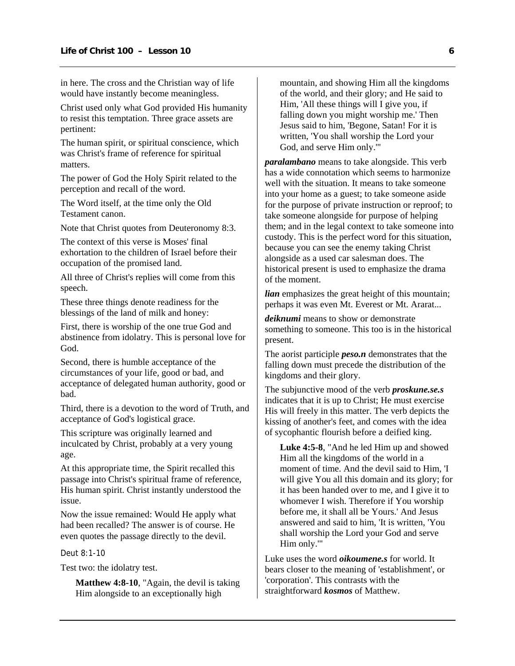in here. The cross and the Christian way of life would have instantly become meaningless.

Christ used only what God provided His humanity to resist this temptation. Three grace assets are pertinent:

The human spirit, or spiritual conscience, which was Christ's frame of reference for spiritual matters.

The power of God the Holy Spirit related to the perception and recall of the word.

The Word itself, at the time only the Old Testament canon.

Note that Christ quotes from Deuteronomy 8:3.

The context of this verse is Moses' final exhortation to the children of Israel before their occupation of the promised land.

All three of Christ's replies will come from this speech.

These three things denote readiness for the blessings of the land of milk and honey:

First, there is worship of the one true God and abstinence from idolatry. This is personal love for God.

Second, there is humble acceptance of the circumstances of your life, good or bad, and acceptance of delegated human authority, good or bad.

Third, there is a devotion to the word of Truth, and acceptance of God's logistical grace.

This scripture was originally learned and inculcated by Christ, probably at a very young age.

At this appropriate time, the Spirit recalled this passage into Christ's spiritual frame of reference, His human spirit. Christ instantly understood the issue.

Now the issue remained: Would He apply what had been recalled? The answer is of course. He even quotes the passage directly to the devil.

Deut 8:1-10

Test two: the idolatry test.

**Matthew 4:8-10**, "Again, the devil is taking Him alongside to an exceptionally high

mountain, and showing Him all the kingdoms of the world, and their glory; and He said to Him, 'All these things will I give you, if falling down you might worship me.' Then Jesus said to him, 'Begone, Satan! For it is written, 'You shall worship the Lord your God, and serve Him only.'"

*paralambano* means to take alongside. This verb has a wide connotation which seems to harmonize well with the situation. It means to take someone into your home as a guest; to take someone aside for the purpose of private instruction or reproof; to take someone alongside for purpose of helping them; and in the legal context to take someone into custody. This is the perfect word for this situation, because you can see the enemy taking Christ alongside as a used car salesman does. The historical present is used to emphasize the drama of the moment.

*lian* emphasizes the great height of this mountain; perhaps it was even Mt. Everest or Mt. Ararat...

*deiknumi* means to show or demonstrate something to someone. This too is in the historical present.

The aorist participle *peso.n* demonstrates that the falling down must precede the distribution of the kingdoms and their glory.

The subjunctive mood of the verb *proskune.se.s* indicates that it is up to Christ; He must exercise His will freely in this matter. The verb depicts the kissing of another's feet, and comes with the idea of sycophantic flourish before a deified king.

**Luke 4:5-8**, "And he led Him up and showed Him all the kingdoms of the world in a moment of time. And the devil said to Him, 'I will give You all this domain and its glory; for it has been handed over to me, and I give it to whomever I wish. Therefore if You worship before me, it shall all be Yours.' And Jesus answered and said to him, 'It is written, 'You shall worship the Lord your God and serve Him only.'"

Luke uses the word *oikoumene.s* for world. It bears closer to the meaning of 'establishment', or 'corporation'. This contrasts with the straightforward *kosmos* of Matthew.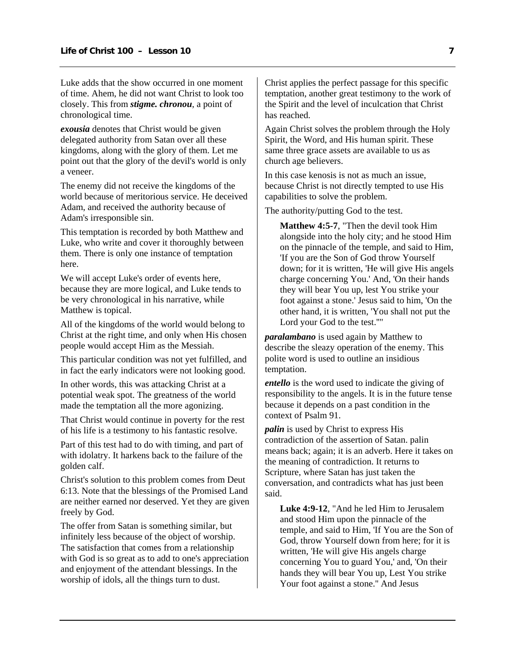Luke adds that the show occurred in one moment of time. Ahem, he did not want Christ to look too closely. This from *stigme. chronou*, a point of chronological time.

*exousia* denotes that Christ would be given delegated authority from Satan over all these kingdoms, along with the glory of them. Let me point out that the glory of the devil's world is only a veneer.

The enemy did not receive the kingdoms of the world because of meritorious service. He deceived Adam, and received the authority because of Adam's irresponsible sin.

This temptation is recorded by both Matthew and Luke, who write and cover it thoroughly between them. There is only one instance of temptation here.

We will accept Luke's order of events here, because they are more logical, and Luke tends to be very chronological in his narrative, while Matthew is topical.

All of the kingdoms of the world would belong to Christ at the right time, and only when His chosen people would accept Him as the Messiah.

This particular condition was not yet fulfilled, and in fact the early indicators were not looking good.

In other words, this was attacking Christ at a potential weak spot. The greatness of the world made the temptation all the more agonizing.

That Christ would continue in poverty for the rest of his life is a testimony to his fantastic resolve.

Part of this test had to do with timing, and part of with idolatry. It harkens back to the failure of the golden calf.

Christ's solution to this problem comes from Deut 6:13. Note that the blessings of the Promised Land are neither earned nor deserved. Yet they are given freely by God.

The offer from Satan is something similar, but infinitely less because of the object of worship. The satisfaction that comes from a relationship with God is so great as to add to one's appreciation and enjoyment of the attendant blessings. In the worship of idols, all the things turn to dust.

Christ applies the perfect passage for this specific temptation, another great testimony to the work of the Spirit and the level of inculcation that Christ has reached.

Again Christ solves the problem through the Holy Spirit, the Word, and His human spirit. These same three grace assets are available to us as church age believers.

In this case kenosis is not as much an issue, because Christ is not directly tempted to use His capabilities to solve the problem.

The authority/putting God to the test.

**Matthew 4:5-7**, "Then the devil took Him alongside into the holy city; and he stood Him on the pinnacle of the temple, and said to Him, 'If you are the Son of God throw Yourself down; for it is written, 'He will give His angels charge concerning You.' And, 'On their hands they will bear You up, lest You strike your foot against a stone.' Jesus said to him, 'On the other hand, it is written, 'You shall not put the Lord your God to the test.''"

*paralambano* is used again by Matthew to describe the sleazy operation of the enemy. This polite word is used to outline an insidious temptation.

*entello* is the word used to indicate the giving of responsibility to the angels. It is in the future tense because it depends on a past condition in the context of Psalm 91.

*palin* is used by Christ to express His contradiction of the assertion of Satan. palin means back; again; it is an adverb. Here it takes on the meaning of contradiction. It returns to Scripture, where Satan has just taken the conversation, and contradicts what has just been said.

**Luke 4:9-12**, "And he led Him to Jerusalem and stood Him upon the pinnacle of the temple, and said to Him, 'If You are the Son of God, throw Yourself down from here; for it is written, 'He will give His angels charge concerning You to guard You,' and, 'On their hands they will bear You up, Lest You strike Your foot against a stone.'' And Jesus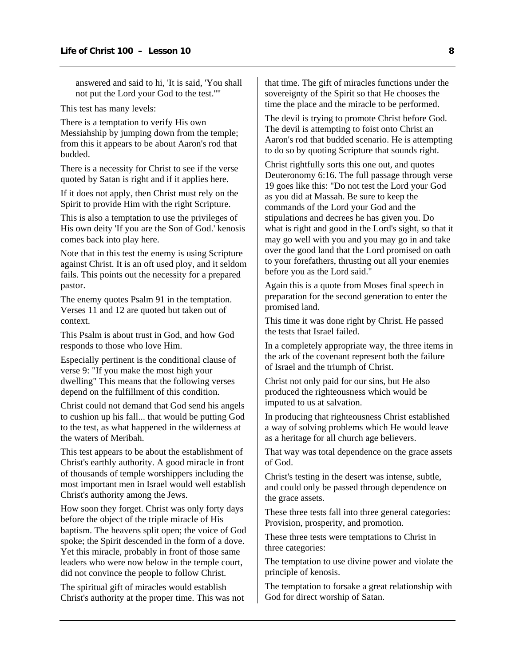answered and said to hi, 'It is said, 'You shall not put the Lord your God to the test.''"

This test has many levels:

There is a temptation to verify His own Messiahship by jumping down from the temple; from this it appears to be about Aaron's rod that budded.

There is a necessity for Christ to see if the verse quoted by Satan is right and if it applies here.

If it does not apply, then Christ must rely on the Spirit to provide Him with the right Scripture.

This is also a temptation to use the privileges of His own deity 'If you are the Son of God.' kenosis comes back into play here.

Note that in this test the enemy is using Scripture against Christ. It is an oft used ploy, and it seldom fails. This points out the necessity for a prepared pastor.

The enemy quotes Psalm 91 in the temptation. Verses 11 and 12 are quoted but taken out of context.

This Psalm is about trust in God, and how God responds to those who love Him.

Especially pertinent is the conditional clause of verse 9: "If you make the most high your dwelling" This means that the following verses depend on the fulfillment of this condition.

Christ could not demand that God send his angels to cushion up his fall... that would be putting God to the test, as what happened in the wilderness at the waters of Meribah.

This test appears to be about the establishment of Christ's earthly authority. A good miracle in front of thousands of temple worshippers including the most important men in Israel would well establish Christ's authority among the Jews.

How soon they forget. Christ was only forty days before the object of the triple miracle of His baptism. The heavens split open; the voice of God spoke; the Spirit descended in the form of a dove. Yet this miracle, probably in front of those same leaders who were now below in the temple court, did not convince the people to follow Christ.

The spiritual gift of miracles would establish Christ's authority at the proper time. This was not that time. The gift of miracles functions under the sovereignty of the Spirit so that He chooses the time the place and the miracle to be performed.

The devil is trying to promote Christ before God. The devil is attempting to foist onto Christ an Aaron's rod that budded scenario. He is attempting to do so by quoting Scripture that sounds right.

Christ rightfully sorts this one out, and quotes Deuteronomy 6:16. The full passage through verse 19 goes like this: "Do not test the Lord your God as you did at Massah. Be sure to keep the commands of the Lord your God and the stipulations and decrees he has given you. Do what is right and good in the Lord's sight, so that it may go well with you and you may go in and take over the good land that the Lord promised on oath to your forefathers, thrusting out all your enemies before you as the Lord said."

Again this is a quote from Moses final speech in preparation for the second generation to enter the promised land.

This time it was done right by Christ. He passed the tests that Israel failed.

In a completely appropriate way, the three items in the ark of the covenant represent both the failure of Israel and the triumph of Christ.

Christ not only paid for our sins, but He also produced the righteousness which would be imputed to us at salvation.

In producing that righteousness Christ established a way of solving problems which He would leave as a heritage for all church age believers.

That way was total dependence on the grace assets of God.

Christ's testing in the desert was intense, subtle, and could only be passed through dependence on the grace assets.

These three tests fall into three general categories: Provision, prosperity, and promotion.

These three tests were temptations to Christ in three categories:

The temptation to use divine power and violate the principle of kenosis.

The temptation to forsake a great relationship with God for direct worship of Satan.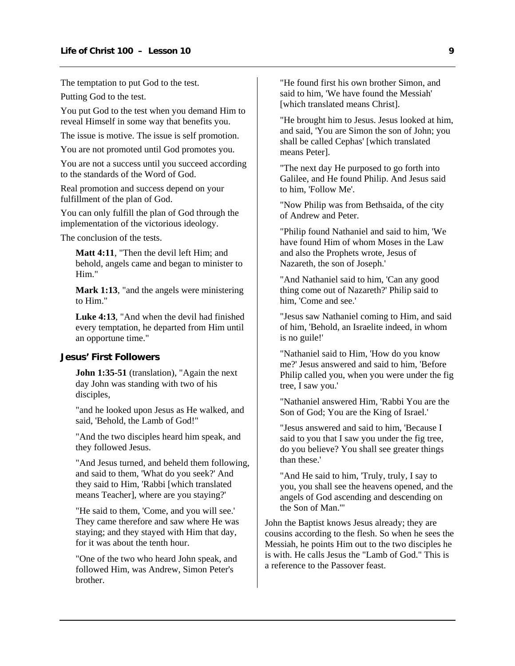<span id="page-10-0"></span>The temptation to put God to the test.

Putting God to the test.

You put God to the test when you demand Him to reveal Himself in some way that benefits you.

The issue is motive. The issue is self promotion.

You are not promoted until God promotes you.

You are not a success until you succeed according to the standards of the Word of God.

Real promotion and success depend on your fulfillment of the plan of God.

You can only fulfill the plan of God through the implementation of the victorious ideology.

The conclusion of the tests.

**Matt 4:11**, "Then the devil left Him; and behold, angels came and began to minister to Him."

**Mark 1:13**, "and the angels were ministering to Him."

**Luke 4:13**, "And when the devil had finished every temptation, he departed from Him until an opportune time."

#### **Jesus' First Followers**

**John 1:35-51** (translation), "Again the next day John was standing with two of his disciples,

"and he looked upon Jesus as He walked, and said, 'Behold, the Lamb of God!"

"And the two disciples heard him speak, and they followed Jesus.

"And Jesus turned, and beheld them following, and said to them, 'What do you seek?' And they said to Him, 'Rabbi [which translated means Teacher], where are you staying?'

"He said to them, 'Come, and you will see.' They came therefore and saw where He was staying; and they stayed with Him that day, for it was about the tenth hour.

"One of the two who heard John speak, and followed Him, was Andrew, Simon Peter's brother.

"He found first his own brother Simon, and said to him, 'We have found the Messiah' [which translated means Christ].

"He brought him to Jesus. Jesus looked at him, and said, 'You are Simon the son of John; you shall be called Cephas' [which translated means Peter].

"The next day He purposed to go forth into Galilee, and He found Philip. And Jesus said to him, 'Follow Me'.

"Now Philip was from Bethsaida, of the city of Andrew and Peter.

"Philip found Nathaniel and said to him, 'We have found Him of whom Moses in the Law and also the Prophets wrote, Jesus of Nazareth, the son of Joseph.'

"And Nathaniel said to him, 'Can any good thing come out of Nazareth?' Philip said to him, 'Come and see.'

"Jesus saw Nathaniel coming to Him, and said of him, 'Behold, an Israelite indeed, in whom is no guile!'

"Nathaniel said to Him, 'How do you know me?' Jesus answered and said to him, 'Before Philip called you, when you were under the fig tree, I saw you.'

"Nathaniel answered Him, 'Rabbi You are the Son of God; You are the King of Israel.'

"Jesus answered and said to him, 'Because I said to you that I saw you under the fig tree, do you believe? You shall see greater things than these.'

"And He said to him, 'Truly, truly, I say to you, you shall see the heavens opened, and the angels of God ascending and descending on the Son of Man.'"

John the Baptist knows Jesus already; they are cousins according to the flesh. So when he sees the Messiah, he points Him out to the two disciples he is with. He calls Jesus the "Lamb of God." This is a reference to the Passover feast.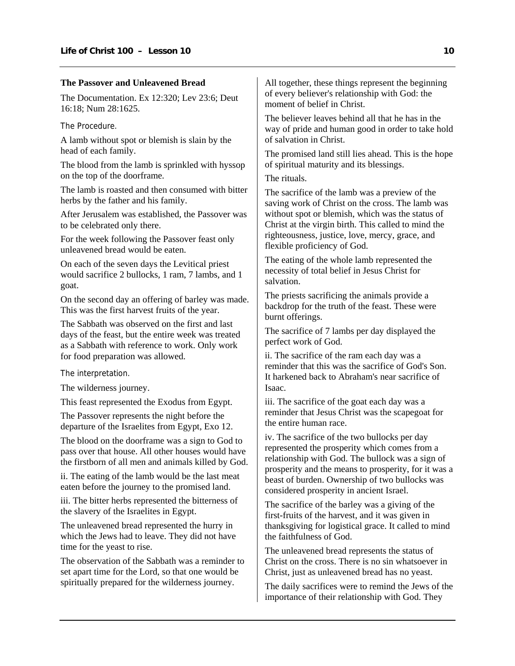#### **The Passover and Unleavened Bread**

The Documentation. Ex 12:320; Lev 23:6; Deut 16:18; Num 28:1625.

The Procedure.

A lamb without spot or blemish is slain by the head of each family.

The blood from the lamb is sprinkled with hyssop on the top of the doorframe.

The lamb is roasted and then consumed with bitter herbs by the father and his family.

After Jerusalem was established, the Passover was to be celebrated only there.

For the week following the Passover feast only unleavened bread would be eaten.

On each of the seven days the Levitical priest would sacrifice 2 bullocks, 1 ram, 7 lambs, and 1 goat.

On the second day an offering of barley was made. This was the first harvest fruits of the year.

The Sabbath was observed on the first and last days of the feast, but the entire week was treated as a Sabbath with reference to work. Only work for food preparation was allowed.

The interpretation.

The wilderness journey.

This feast represented the Exodus from Egypt.

The Passover represents the night before the departure of the Israelites from Egypt, Exo 12.

The blood on the doorframe was a sign to God to pass over that house. All other houses would have the firstborn of all men and animals killed by God.

ii. The eating of the lamb would be the last meat eaten before the journey to the promised land.

iii. The bitter herbs represented the bitterness of the slavery of the Israelites in Egypt.

The unleavened bread represented the hurry in which the Jews had to leave. They did not have time for the yeast to rise.

The observation of the Sabbath was a reminder to set apart time for the Lord, so that one would be spiritually prepared for the wilderness journey.

All together, these things represent the beginning of every believer's relationship with God: the moment of belief in Christ.

The believer leaves behind all that he has in the way of pride and human good in order to take hold of salvation in Christ.

The promised land still lies ahead. This is the hope of spiritual maturity and its blessings.

The rituals.

The sacrifice of the lamb was a preview of the saving work of Christ on the cross. The lamb was without spot or blemish, which was the status of Christ at the virgin birth. This called to mind the righteousness, justice, love, mercy, grace, and flexible proficiency of God.

The eating of the whole lamb represented the necessity of total belief in Jesus Christ for salvation.

The priests sacrificing the animals provide a backdrop for the truth of the feast. These were burnt offerings.

The sacrifice of 7 lambs per day displayed the perfect work of God.

ii. The sacrifice of the ram each day was a reminder that this was the sacrifice of God's Son. It harkened back to Abraham's near sacrifice of Isaac.

iii. The sacrifice of the goat each day was a reminder that Jesus Christ was the scapegoat for the entire human race.

iv. The sacrifice of the two bullocks per day represented the prosperity which comes from a relationship with God. The bullock was a sign of prosperity and the means to prosperity, for it was a beast of burden. Ownership of two bullocks was considered prosperity in ancient Israel.

The sacrifice of the barley was a giving of the first-fruits of the harvest, and it was given in thanksgiving for logistical grace. It called to mind the faithfulness of God.

The unleavened bread represents the status of Christ on the cross. There is no sin whatsoever in Christ, just as unleavened bread has no yeast.

The daily sacrifices were to remind the Jews of the importance of their relationship with God. They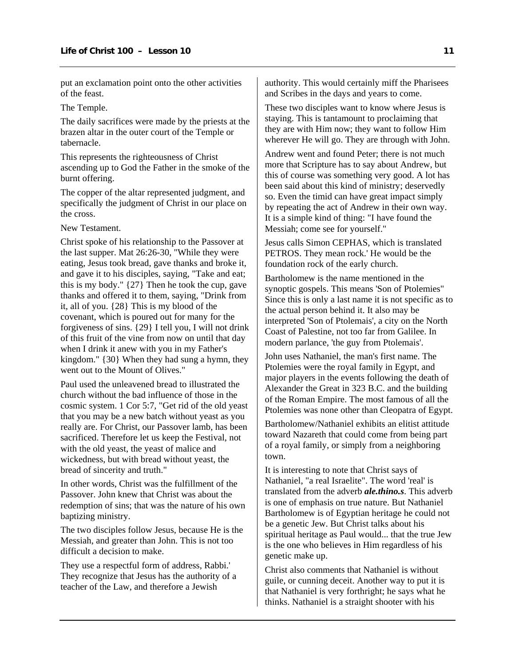put an exclamation point onto the other activities of the feast.

#### The Temple.

The daily sacrifices were made by the priests at the brazen altar in the outer court of the Temple or tabernacle.

This represents the righteousness of Christ ascending up to God the Father in the smoke of the burnt offering.

The copper of the altar represented judgment, and specifically the judgment of Christ in our place on the cross.

New Testament.

Christ spoke of his relationship to the Passover at the last supper. Mat 26:26-30, "While they were eating, Jesus took bread, gave thanks and broke it, and gave it to his disciples, saying, "Take and eat; this is my body." {27} Then he took the cup, gave thanks and offered it to them, saying, "Drink from it, all of you. {28} This is my blood of the covenant, which is poured out for many for the forgiveness of sins. {29} I tell you, I will not drink of this fruit of the vine from now on until that day when I drink it anew with you in my Father's kingdom." {30} When they had sung a hymn, they went out to the Mount of Olives."

Paul used the unleavened bread to illustrated the church without the bad influence of those in the cosmic system. 1 Cor 5:7, "Get rid of the old yeast that you may be a new batch without yeast as you really are. For Christ, our Passover lamb, has been sacrificed. Therefore let us keep the Festival, not with the old yeast, the yeast of malice and wickedness, but with bread without yeast, the bread of sincerity and truth."

In other words, Christ was the fulfillment of the Passover. John knew that Christ was about the redemption of sins; that was the nature of his own baptizing ministry.

The two disciples follow Jesus, because He is the Messiah, and greater than John. This is not too difficult a decision to make.

They use a respectful form of address, Rabbi.' They recognize that Jesus has the authority of a teacher of the Law, and therefore a Jewish

authority. This would certainly miff the Pharisees and Scribes in the days and years to come.

These two disciples want to know where Jesus is staying. This is tantamount to proclaiming that they are with Him now; they want to follow Him wherever He will go. They are through with John.

Andrew went and found Peter; there is not much more that Scripture has to say about Andrew, but this of course was something very good. A lot has been said about this kind of ministry; deservedly so. Even the timid can have great impact simply by repeating the act of Andrew in their own way. It is a simple kind of thing: "I have found the Messiah; come see for yourself."

Jesus calls Simon CEPHAS, which is translated PETROS. They mean rock.' He would be the foundation rock of the early church.

Bartholomew is the name mentioned in the synoptic gospels. This means 'Son of Ptolemies" Since this is only a last name it is not specific as to the actual person behind it. It also may be interpreted 'Son of Ptolemais', a city on the North Coast of Palestine, not too far from Galilee. In modern parlance, 'the guy from Ptolemais'.

John uses Nathaniel, the man's first name. The Ptolemies were the royal family in Egypt, and major players in the events following the death of Alexander the Great in 323 B.C. and the building of the Roman Empire. The most famous of all the Ptolemies was none other than Cleopatra of Egypt.

Bartholomew/Nathaniel exhibits an elitist attitude toward Nazareth that could come from being part of a royal family, or simply from a neighboring town.

It is interesting to note that Christ says of Nathaniel, "a real Israelite". The word 'real' is translated from the adverb *ale.thino.s*. This adverb is one of emphasis on true nature. But Nathaniel Bartholomew is of Egyptian heritage he could not be a genetic Jew. But Christ talks about his spiritual heritage as Paul would... that the true Jew is the one who believes in Him regardless of his genetic make up.

Christ also comments that Nathaniel is without guile, or cunning deceit. Another way to put it is that Nathaniel is very forthright; he says what he thinks. Nathaniel is a straight shooter with his